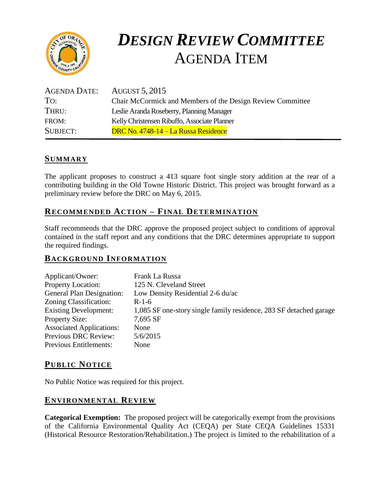

# *DESIGN REVIEW COMMITTEE*  AGENDA ITEM

| AGENDA DATE:    | <b>AUGUST 5, 2015</b>                                      |
|-----------------|------------------------------------------------------------|
| To:             | Chair McCormick and Members of the Design Review Committee |
| THRU:           | Leslie Aranda Roseberry, Planning Manager                  |
| FROM:           | Kelly Christensen Ribuffo, Associate Planner               |
| <b>SUBJECT:</b> | DRC No. 4748-14 – La Russa Residence                       |

# **SUMMARY**

The applicant proposes to construct a 413 square foot single story addition at the rear of a contributing building in the Old Towne Historic District. This project was brought forward as a preliminary review before the DRC on May 6, 2015.

# **RECOMMENDED ACTION – FINAL DETERMINATION**

Staff recommends that the DRC approve the proposed project subject to conditions of approval contained in the staff report and any conditions that the DRC determines appropriate to support the required findings.

# **BACKGROUND INFORMATION**

| Applicant/Owner:                 | Frank La Russa                                                     |
|----------------------------------|--------------------------------------------------------------------|
| <b>Property Location:</b>        | 125 N. Cleveland Street                                            |
| <b>General Plan Designation:</b> | Low Density Residential 2-6 du/ac                                  |
| Zoning Classification:           | $R-1-6$                                                            |
| <b>Existing Development:</b>     | 1,085 SF one-story single family residence, 283 SF detached garage |
| <b>Property Size:</b>            | 7,695 SF                                                           |
| <b>Associated Applications:</b>  | <b>None</b>                                                        |
| <b>Previous DRC Review:</b>      | 5/6/2015                                                           |
| <b>Previous Entitlements:</b>    | None                                                               |

# **PUB LIC NOTICE**

No Public Notice was required for this project.

### **ENVIRONMENTAL REVIEW**

**Categorical Exemption:** The proposed project will be categorically exempt from the provisions of the California Environmental Quality Act (CEQA) per State CEQA Guidelines 15331 (Historical Resource Restoration/Rehabilitation.) The project is limited to the rehabilitation of a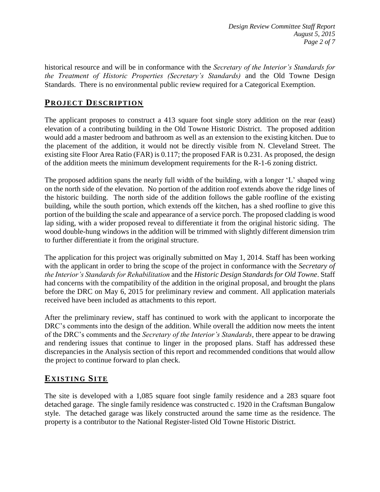historical resource and will be in conformance with the *Secretary of the Interior's Standards for the Treatment of Historic Properties (Secretary's Standards)* and the Old Towne Design Standards. There is no environmental public review required for a Categorical Exemption.

# **PROJECT DESCRIP TION**

The applicant proposes to construct a 413 square foot single story addition on the rear (east) elevation of a contributing building in the Old Towne Historic District. The proposed addition would add a master bedroom and bathroom as well as an extension to the existing kitchen. Due to the placement of the addition, it would not be directly visible from N. Cleveland Street. The existing site Floor Area Ratio (FAR) is 0.117; the proposed FAR is 0.231. As proposed, the design of the addition meets the minimum development requirements for the R-1-6 zoning district.

The proposed addition spans the nearly full width of the building, with a longer 'L' shaped wing on the north side of the elevation. No portion of the addition roof extends above the ridge lines of the historic building. The north side of the addition follows the gable roofline of the existing building, while the south portion, which extends off the kitchen, has a shed roofline to give this portion of the building the scale and appearance of a service porch. The proposed cladding is wood lap siding, with a wider proposed reveal to differentiate it from the original historic siding. The wood double-hung windows in the addition will be trimmed with slightly different dimension trim to further differentiate it from the original structure.

The application for this project was originally submitted on May 1, 2014. Staff has been working with the applicant in order to bring the scope of the project in conformance with the *Secretary of the Interior's Standards for Rehabilitation* and the *Historic Design Standards for Old Towne*. Staff had concerns with the compatibility of the addition in the original proposal, and brought the plans before the DRC on May 6, 2015 for preliminary review and comment. All application materials received have been included as attachments to this report.

After the preliminary review, staff has continued to work with the applicant to incorporate the DRC's comments into the design of the addition. While overall the addition now meets the intent of the DRC's comments and the *Secretary of the Interior's Standards*, there appear to be drawing and rendering issues that continue to linger in the proposed plans. Staff has addressed these discrepancies in the Analysis section of this report and recommended conditions that would allow the project to continue forward to plan check.

# **EXISTING SITE**

The site is developed with a 1,085 square foot single family residence and a 283 square foot detached garage. The single family residence was constructed c. 1920 in the Craftsman Bungalow style. The detached garage was likely constructed around the same time as the residence. The property is a contributor to the National Register-listed Old Towne Historic District.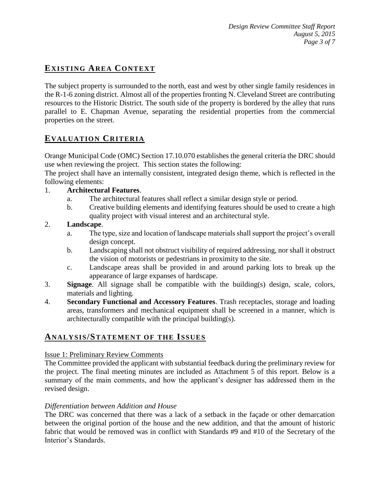# **EXISTING AREA CONTEXT**

The subject property is surrounded to the north, east and west by other single family residences in the R-1-6 zoning district. Almost all of the properties fronting N. Cleveland Street are contributing resources to the Historic District. The south side of the property is bordered by the alley that runs parallel to E. Chapman Avenue, separating the residential properties from the commercial properties on the street.

# **EVALUATION CRITERIA**

Orange Municipal Code (OMC) Section 17.10.070 establishes the general criteria the DRC should use when reviewing the project. This section states the following:

The project shall have an internally consistent, integrated design theme, which is reflected in the following elements:

#### 1. **Architectural Features**.

- a. The architectural features shall reflect a similar design style or period.
- b. Creative building elements and identifying features should be used to create a high quality project with visual interest and an architectural style.

#### 2. **Landscape**.

- a. The type, size and location of landscape materials shall support the project's overall design concept.
- b. Landscaping shall not obstruct visibility of required addressing, nor shall it obstruct the vision of motorists or pedestrians in proximity to the site.
- c. Landscape areas shall be provided in and around parking lots to break up the appearance of large expanses of hardscape.
- 3. **Signage**. All signage shall be compatible with the building(s) design, scale, colors, materials and lighting.
- 4. **Secondary Functional and Accessory Features**. Trash receptacles, storage and loading areas, transformers and mechanical equipment shall be screened in a manner, which is architecturally compatible with the principal building(s).

### **ANALY SIS/STATEMENT OF THE ISSUES**

#### Issue 1: Preliminary Review Comments

The Committee provided the applicant with substantial feedback during the preliminary review for the project. The final meeting minutes are included as Attachment 5 of this report. Below is a summary of the main comments, and how the applicant's designer has addressed them in the revised design.

#### *Differentiation between Addition and House*

The DRC was concerned that there was a lack of a setback in the façade or other demarcation between the original portion of the house and the new addition, and that the amount of historic fabric that would be removed was in conflict with Standards #9 and #10 of the Secretary of the Interior's Standards.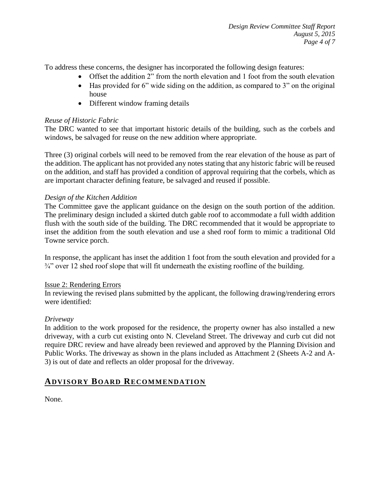To address these concerns, the designer has incorporated the following design features:

- Offset the addition 2" from the north elevation and 1 foot from the south elevation
- Has provided for 6" wide siding on the addition, as compared to 3" on the original house
- Different window framing details

#### *Reuse of Historic Fabric*

The DRC wanted to see that important historic details of the building, such as the corbels and windows, be salvaged for reuse on the new addition where appropriate.

Three (3) original corbels will need to be removed from the rear elevation of the house as part of the addition. The applicant has not provided any notes stating that any historic fabric will be reused on the addition, and staff has provided a condition of approval requiring that the corbels, which as are important character defining feature, be salvaged and reused if possible.

#### *Design of the Kitchen Addition*

The Committee gave the applicant guidance on the design on the south portion of the addition. The preliminary design included a skirted dutch gable roof to accommodate a full width addition flush with the south side of the building. The DRC recommended that it would be appropriate to inset the addition from the south elevation and use a shed roof form to mimic a traditional Old Towne service porch.

In response, the applicant has inset the addition 1 foot from the south elevation and provided for a ¾" over 12 shed roof slope that will fit underneath the existing roofline of the building.

#### Issue 2: Rendering Errors

In reviewing the revised plans submitted by the applicant, the following drawing/rendering errors were identified:

#### *Driveway*

In addition to the work proposed for the residence, the property owner has also installed a new driveway, with a curb cut existing onto N. Cleveland Street. The driveway and curb cut did not require DRC review and have already been reviewed and approved by the Planning Division and Public Works. The driveway as shown in the plans included as Attachment 2 (Sheets A-2 and A-3) is out of date and reflects an older proposal for the driveway.

# **ADVISORY BOARD RECOMMENDATION**

None.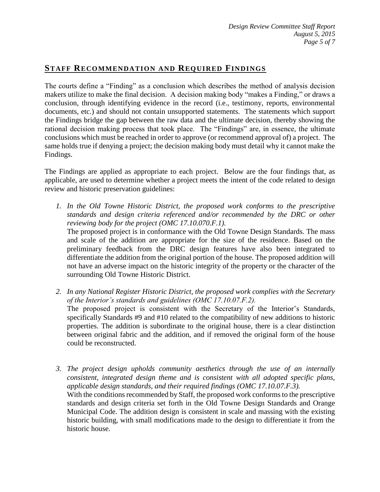# **STAFF RECOMMENDATION AND REQUIRED FINDINGS**

The courts define a "Finding" as a conclusion which describes the method of analysis decision makers utilize to make the final decision. A decision making body "makes a Finding," or draws a conclusion, through identifying evidence in the record (i.e., testimony, reports, environmental documents, etc.) and should not contain unsupported statements. The statements which support the Findings bridge the gap between the raw data and the ultimate decision, thereby showing the rational decision making process that took place. The "Findings" are, in essence, the ultimate conclusions which must be reached in order to approve (or recommend approval of) a project. The same holds true if denying a project; the decision making body must detail why it cannot make the Findings.

The Findings are applied as appropriate to each project.Below are the four findings that, as applicable, are used to determine whether a project meets the intent of the code related to design review and historic preservation guidelines:

- *1. In the Old Towne Historic District, the proposed work conforms to the prescriptive standards and design criteria referenced and/or recommended by the DRC or other reviewing body for the project (OMC 17.10.070.F.1).* The proposed project is in conformance with the Old Towne Design Standards. The mass and scale of the addition are appropriate for the size of the residence. Based on the preliminary feedback from the DRC design features have also been integrated to differentiate the addition from the original portion of the house. The proposed addition will not have an adverse impact on the historic integrity of the property or the character of the surrounding Old Towne Historic District.
- *2. In any National Register Historic District, the proposed work complies with the Secretary of the Interior's standards and guidelines (OMC 17.10.07.F.2).* The proposed project is consistent with the Secretary of the Interior's Standards, specifically Standards #9 and #10 related to the compatibility of new additions to historic properties. The addition is subordinate to the original house, there is a clear distinction between original fabric and the addition, and if removed the original form of the house could be reconstructed.
- *3. The project design upholds community aesthetics through the use of an internally consistent, integrated design theme and is consistent with all adopted specific plans, applicable design standards, and their required findings (OMC 17.10.07.F.3).* With the conditions recommended by Staff, the proposed work conforms to the prescriptive standards and design criteria set forth in the Old Towne Design Standards and Orange Municipal Code. The addition design is consistent in scale and massing with the existing historic building, with small modifications made to the design to differentiate it from the historic house.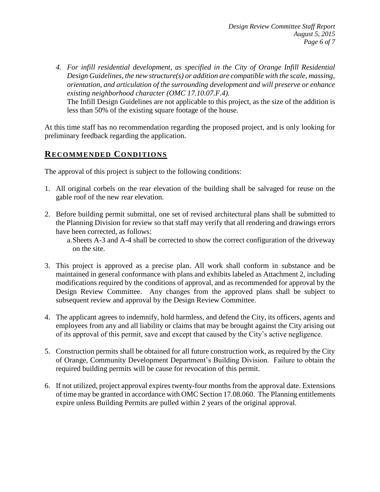*4. For infill residential development, as specified in the City of Orange Infill Residential Design Guidelines, the new structure(s) or addition are compatible with the scale, massing, orientation, and articulation of the surrounding development and will preserve or enhance existing neighborhood character (OMC 17.10.07.F.4).* The Infill Design Guidelines are not applicable to this project, as the size of the addition is less than 50% of the existing square footage of the house.

At this time staff has no recommendation regarding the proposed project, and is only looking for preliminary feedback regarding the application.

## **RECOMMENDED CONDITIONS**

The approval of this project is subject to the following conditions:

- 1. All original corbels on the rear elevation of the building shall be salvaged for reuse on the gable roof of the new rear elevation.
- 2. Before building permit submittal, one set of revised architectural plans shall be submitted to the Planning Division for review so that staff may verify that all rendering and drawings errors have been corrected, as follows:

a.Sheets A-3 and A-4 shall be corrected to show the correct configuration of the driveway on the site.

- 3. This project is approved as a precise plan. All work shall conform in substance and be maintained in general conformance with plans and exhibits labeled as Attachment 2, including modifications required by the conditions of approval, and as recommended for approval by the Design Review Committee. Any changes from the approved plans shall be subject to subsequent review and approval by the Design Review Committee.
- 4. The applicant agrees to indemnify, hold harmless, and defend the City, its officers, agents and employees from any and all liability or claims that may be brought against the City arising out of its approval of this permit, save and except that caused by the City's active negligence.
- 5. Construction permits shall be obtained for all future construction work, as required by the City of Orange, Community Development Department's Building Division. Failure to obtain the required building permits will be cause for revocation of this permit.
- 6. If not utilized, project approval expires twenty-four months from the approval date. Extensions of time may be granted in accordance with OMC Section 17.08.060. The Planning entitlements expire unless Building Permits are pulled within 2 years of the original approval.